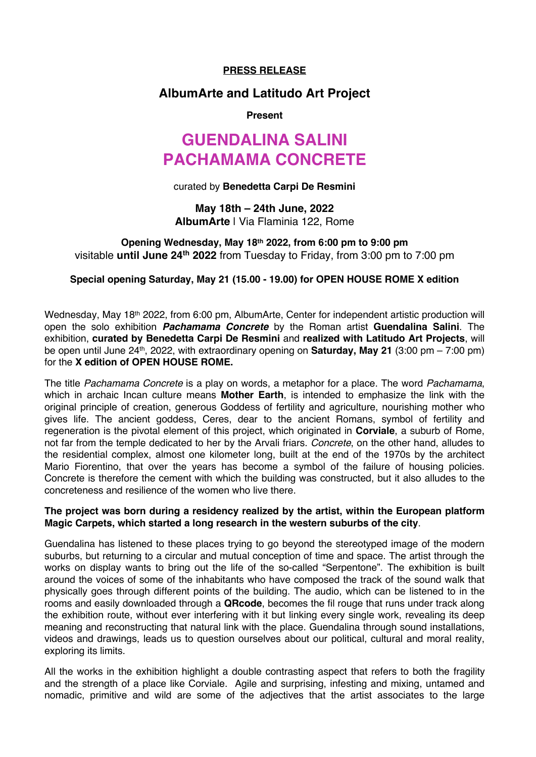# **PRESS RELEASE**

# **AlbumArte and Latitudo Art Project**

## **Present**

# **GUENDALINA SALINI PACHAMAMA CONCRETE**

#### curated by **Benedetta Carpi De Resmini**

**May 18th – 24th June, 2022 AlbumArte** | Via Flaminia 122, Rome

# **Opening Wednesday, May 18th 2022, from 6:00 pm to 9:00 pm** visitable **until June 24th 2022** from Tuesday to Friday, from 3:00 pm to 7:00 pm

# **Special opening Saturday, May 21 (15.00 - 19.00) for OPEN HOUSE ROME X edition**

Wednesday, May 18<sup>th</sup> 2022, from 6:00 pm, AlbumArte, Center for independent artistic production will open the solo exhibition *Pachamama Concrete* by the Roman artist **Guendalina Salini**. The exhibition, **curated by Benedetta Carpi De Resmini** and **realized with Latitudo Art Projects**, will be open until June 24th, 2022, with extraordinary opening on **Saturday, May 21** (3:00 pm – 7:00 pm) for the **X edition of OPEN HOUSE ROME.**

The title *Pachamama Concrete* is a play on words, a metaphor for a place. The word *Pachamama*, which in archaic Incan culture means **Mother Earth**, is intended to emphasize the link with the original principle of creation, generous Goddess of fertility and agriculture, nourishing mother who gives life. The ancient goddess, Ceres, dear to the ancient Romans, symbol of fertility and regeneration is the pivotal element of this project, which originated in **Corviale**, a suburb of Rome, not far from the temple dedicated to her by the Arvali friars. *Concrete*, on the other hand, alludes to the residential complex, almost one kilometer long, built at the end of the 1970s by the architect Mario Fiorentino, that over the years has become a symbol of the failure of housing policies. Concrete is therefore the cement with which the building was constructed, but it also alludes to the concreteness and resilience of the women who live there.

## **The project was born during a residency realized by the artist, within the European platform Magic Carpets, which started a long research in the western suburbs of the city**.

Guendalina has listened to these places trying to go beyond the stereotyped image of the modern suburbs, but returning to a circular and mutual conception of time and space. The artist through the works on display wants to bring out the life of the so-called "Serpentone". The exhibition is built around the voices of some of the inhabitants who have composed the track of the sound walk that physically goes through different points of the building. The audio, which can be listened to in the rooms and easily downloaded through a **QRcode**, becomes the fil rouge that runs under track along the exhibition route, without ever interfering with it but linking every single work, revealing its deep meaning and reconstructing that natural link with the place. Guendalina through sound installations, videos and drawings, leads us to question ourselves about our political, cultural and moral reality, exploring its limits.

All the works in the exhibition highlight a double contrasting aspect that refers to both the fragility and the strength of a place like Corviale. Agile and surprising, infesting and mixing, untamed and nomadic, primitive and wild are some of the adjectives that the artist associates to the large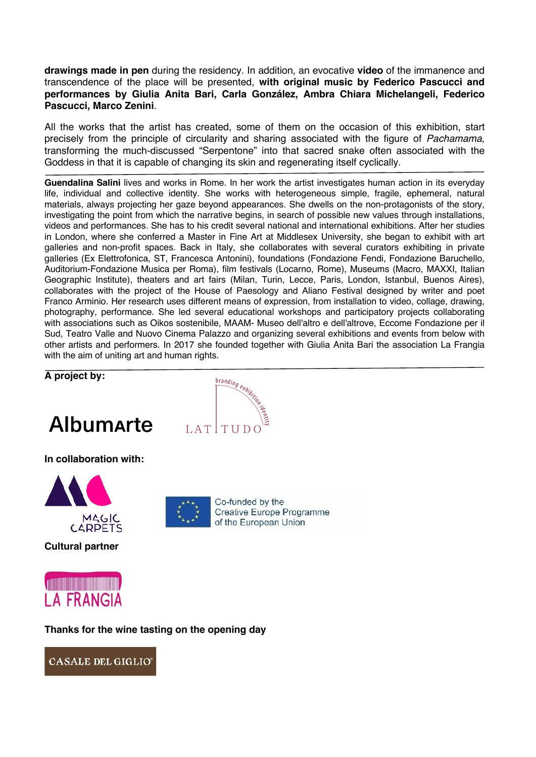**drawings made in pen** during the residency. In addition, an evocative **video** of the immanence and transcendence of the place will be presented, **with original music by Federico Pascucci and performances by Giulia Anita Bari, Carla González, Ambra Chiara Michelangeli, Federico Pascucci, Marco Zenini**.

All the works that the artist has created, some of them on the occasion of this exhibition, start precisely from the principle of circularity and sharing associated with the figure of *Pachamama*, transforming the much-discussed "Serpentone" into that sacred snake often associated with the Goddess in that it is capable of changing its skin and regenerating itself cyclically.

**Guendalina Salini** lives and works in Rome. In her work the artist investigates human action in its everyday life, individual and collective identity. She works with heterogeneous simple, fragile, ephemeral, natural materials, always projecting her gaze beyond appearances. She dwells on the non-protagonists of the story, investigating the point from which the narrative begins, in search of possible new values through installations, videos and performances. She has to his credit several national and international exhibitions. After her studies in London, where she conferred a Master in Fine Art at Middlesex University, she began to exhibit with art galleries and non-profit spaces. Back in Italy, she collaborates with several curators exhibiting in private galleries (Ex Elettrofonica, ST, Francesca Antonini), foundations (Fondazione Fendi, Fondazione Baruchello, Auditorium-Fondazione Musica per Roma), film festivals (Locarno, Rome), Museums (Macro, MAXXI, Italian Geographic Institute), theaters and art fairs (Milan, Turin, Lecce, Paris, London, Istanbul, Buenos Aires), collaborates with the project of the House of Paesology and Aliano Festival designed by writer and poet Franco Arminio. Her research uses different means of expression, from installation to video, collage, drawing, photography, performance. She led several educational workshops and participatory projects collaborating with associations such as Oikos sostenibile, MAAM- Museo dell'altro e dell'altrove, Eccome Fondazione per il Sud, Teatro Valle and Nuovo Cinema Palazzo and organizing several exhibitions and events from below with other artists and performers. In 2017 she founded together with Giulia Anita Bari the association La Frangia with the aim of uniting art and human rights.

# **A project by:**





**In collaboration with:** 



**Cultural partner**



Co-funded by the Creative Europe Programme of the European Union



**Thanks for the wine tasting on the opening day**

**CASALE DEL GIGLIO**